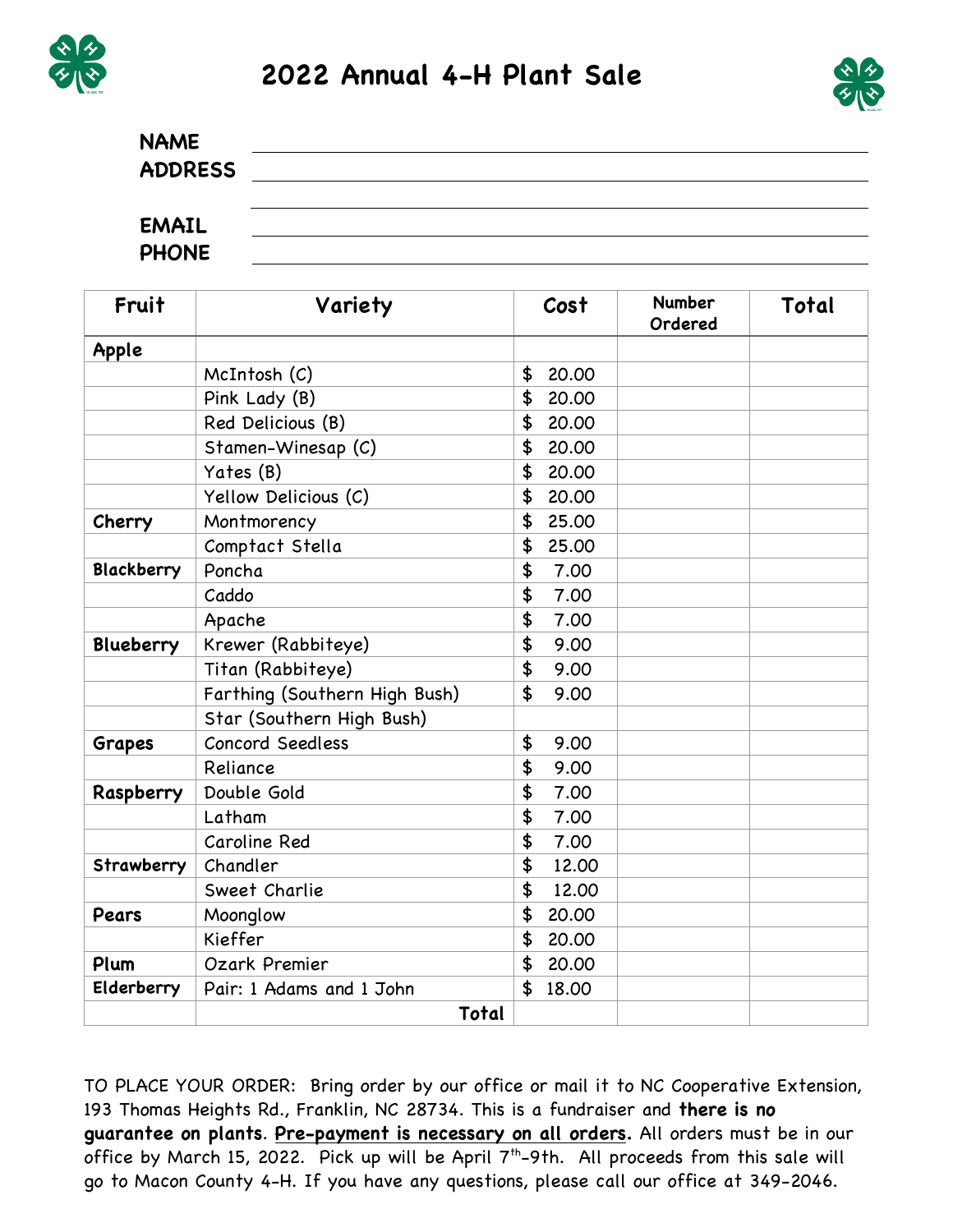



| <b>NAME</b>    |  |
|----------------|--|
| <b>ADDRESS</b> |  |
|                |  |
| <b>EMAIL</b>   |  |
| <b>PHONE</b>   |  |

| Fruit      | Variety                       | Cost        | <b>Number</b><br>Ordered | Total |
|------------|-------------------------------|-------------|--------------------------|-------|
| Apple      |                               |             |                          |       |
|            | McIntosh (C)                  | \$<br>20.00 |                          |       |
|            | Pink Lady (B)                 | \$<br>20.00 |                          |       |
|            | Red Delicious (B)             | \$<br>20.00 |                          |       |
|            | Stamen-Winesap (C)            | \$<br>20.00 |                          |       |
|            | Yates (B)                     | \$<br>20.00 |                          |       |
|            | Yellow Delicious (C)          | \$<br>20.00 |                          |       |
| Cherry     | Montmorency                   | \$<br>25.00 |                          |       |
|            | Comptact Stella               | \$<br>25.00 |                          |       |
| Blackberry | Poncha                        | \$<br>7.00  |                          |       |
|            | Caddo                         | \$<br>7.00  |                          |       |
|            | Apache                        | \$<br>7.00  |                          |       |
| Blueberry  | Krewer (Rabbiteye)            | \$<br>9.00  |                          |       |
|            | Titan (Rabbiteye)             | \$<br>9.00  |                          |       |
|            | Farthing (Southern High Bush) | \$<br>9.00  |                          |       |
|            | Star (Southern High Bush)     |             |                          |       |
| Grapes     | Concord Seedless              | \$<br>9.00  |                          |       |
|            | Reliance                      | \$<br>9.00  |                          |       |
| Raspberry  | Double Gold                   | \$<br>7.00  |                          |       |
|            | Latham                        | \$<br>7.00  |                          |       |
|            | Caroline Red                  | \$<br>7.00  |                          |       |
| Strawberry | Chandler                      | \$<br>12.00 |                          |       |
|            | Sweet Charlie                 | \$<br>12.00 |                          |       |
| Pears      | Moonglow                      | \$<br>20.00 |                          |       |
|            | Kieffer                       | \$<br>20.00 |                          |       |
| Plum       | Ozark Premier                 | \$<br>20.00 |                          |       |
| Elderberry | Pair: 1 Adams and 1 John      | \$<br>18.00 |                          |       |
|            | Total                         |             |                          |       |

TO PLACE YOUR ORDER: Bring order by our office or mail it to NC Cooperative Extension, 193 Thomas Heights Rd., Franklin, NC 28734. This is a fundraiser and **there is no guarantee on plants**. **Pre-payment is necessary on all orders.** All orders must be in our office by March 15, 2022. Pick up will be April  $7<sup>th</sup>$ -9th. All proceeds from this sale will go to Macon County 4-H. If you have any questions, please call our office at 349-2046.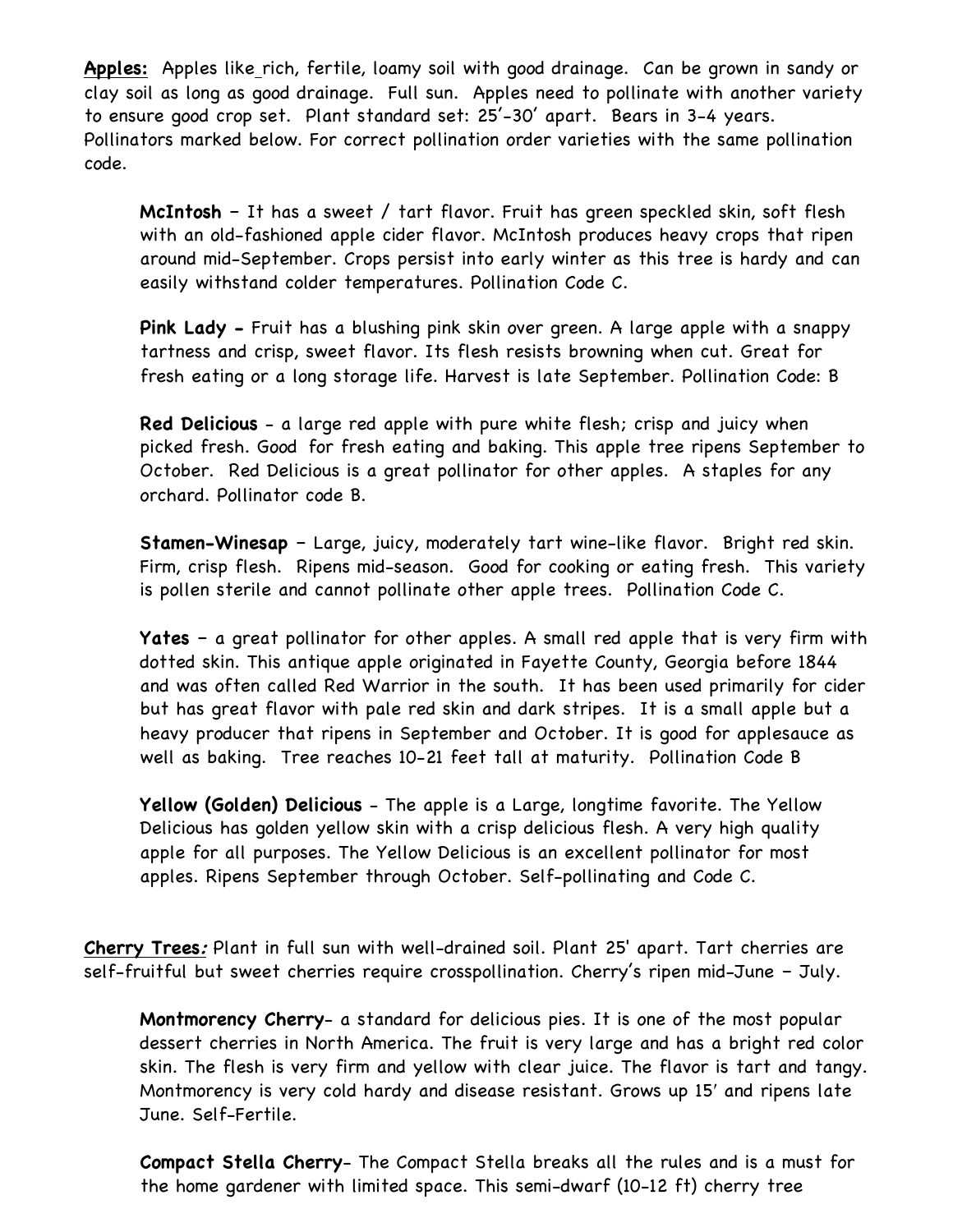**Apples:** Apples like rich, fertile, loamy soil with good drainage. Can be grown in sandy or clay soil as long as good drainage. Full sun. Apples need to pollinate with another variety to ensure good crop set. Plant standard set: 25'-30' apart. Bears in 3-4 years. Pollinators marked below. For correct pollination order varieties with the same pollination code.

**McIntosh** – It has a sweet / tart flavor. Fruit has green speckled skin, soft flesh with an old-fashioned apple cider flavor. McIntosh produces heavy crops that ripen around mid-September. Crops persist into early winter as this tree is hardy and can easily withstand colder temperatures. Pollination Code C.

**Pink Lady -** Fruit has a blushing pink skin over green. A large apple with a snappy tartness and crisp, sweet flavor. Its flesh resists browning when cut. Great for fresh eating or a long storage life. Harvest is late September. Pollination Code: B

**Red Delicious** - a large red apple with pure white flesh; crisp and juicy when picked fresh. Good for fresh eating and baking. This apple tree ripens September to October. Red Delicious is a great pollinator for other apples. A staples for any orchard. Pollinator code B.

**Stamen-Winesap** – Large, juicy, moderately tart wine-like flavor. Bright red skin. Firm, crisp flesh. Ripens mid-season. Good for cooking or eating fresh. This variety is pollen sterile and cannot pollinate other apple trees. Pollination Code C.

**Yates** – a great pollinator for other apples. A small red apple that is very firm with dotted skin. This antique apple originated in Fayette County, Georgia before 1844 and was often called Red Warrior in the south. It has been used primarily for cider but has great flavor with pale red skin and dark stripes. It is a small apple but a heavy producer that ripens in September and October. It is good for applesauce as well as baking. Tree reaches 10-21 feet tall at maturity. Pollination Code B

**Yellow (Golden) Delicious** - The apple is a Large, longtime favorite. The Yellow Delicious has golden yellow skin with a crisp delicious flesh. A very high quality apple for all purposes. The Yellow Delicious is an excellent pollinator for most apples. Ripens September through October. Self-pollinating and Code C.

**Cherry Trees:** Plant in full sun with well-drained soil. Plant 25' apart. Tart cherries are self-fruitful but sweet cherries require crosspollination. Cherry's ripen mid-June – July.

**Montmorency Cherry**- a standard for delicious pies. It is one of the most popular dessert cherries in North America. The fruit is very large and has a bright red color skin. The flesh is very firm and yellow with clear juice. The flavor is tart and tangy. Montmorency is very cold hardy and disease resistant. Grows up 15′ and ripens late June. Self-Fertile.

**Compact Stella Cherry**- The Compact Stella breaks all the rules and is a must for the home gardener with limited space. This semi-dwarf (10-12 ft) cherry tree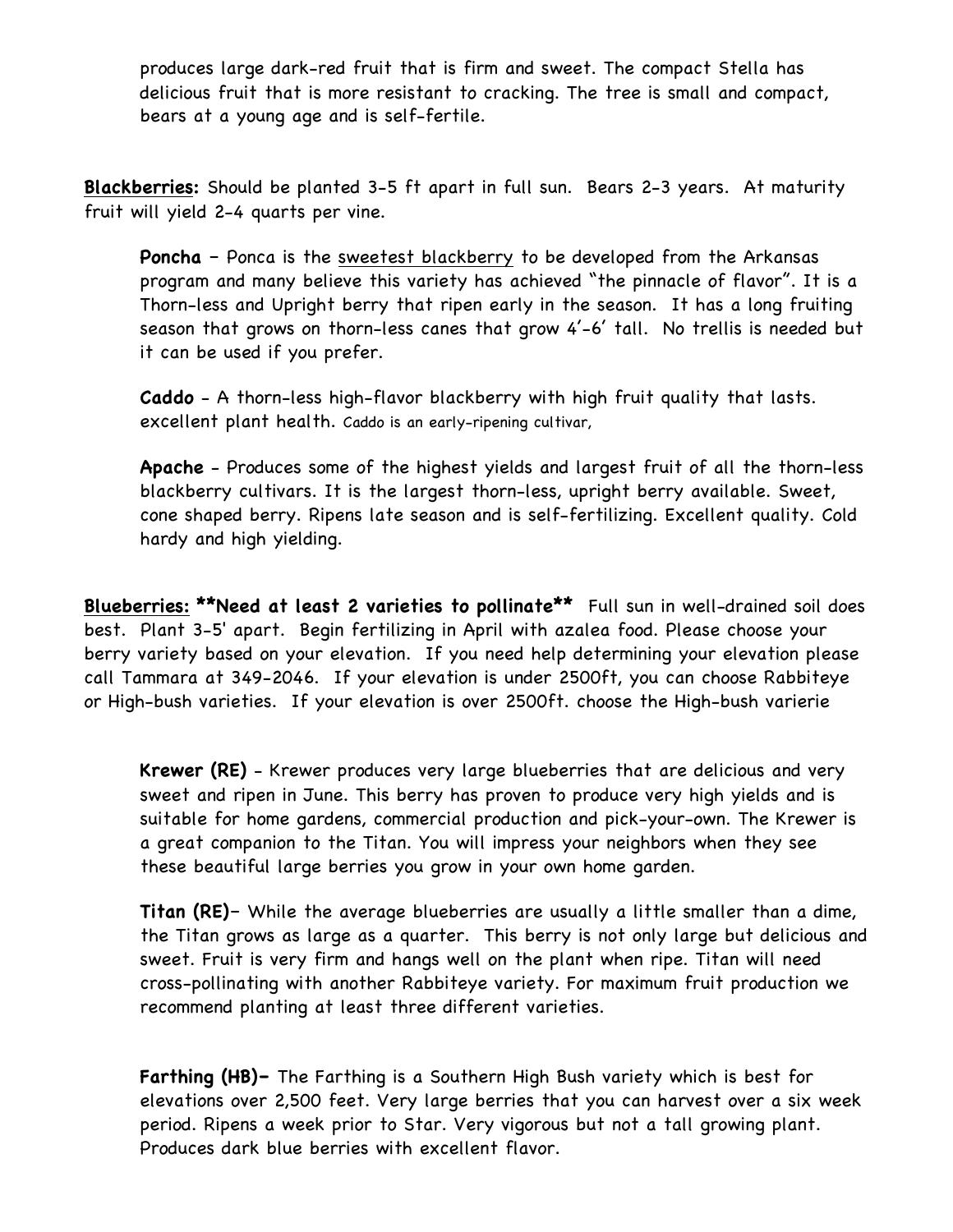produces large dark-red fruit that is firm and sweet. The compact Stella has delicious fruit that is more resistant to cracking. The tree is small and compact, bears at a young age and is self-fertile.

**Blackberries:** Should be planted 3-5 ft apart in full sun. Bears 2-3 years. At maturity fruit will yield 2-4 quarts per vine.

**Poncha** – Ponca is the sweetest blackberry to be developed from the Arkansas program and many believe this variety has achieved "the pinnacle of flavor". It is a Thorn-less and Upright berry that ripen early in the season. It has a long fruiting season that grows on thorn-less canes that grow 4'-6' tall. No trellis is needed but it can be used if you prefer.

**Caddo** - A thorn-less high-flavor blackberry with high fruit quality that lasts. excellent plant health. Caddo is an early-ripening cultivar,

**Apache** - Produces some of the highest yields and largest fruit of all the thorn-less blackberry cultivars. It is the largest thorn-less, upright berry available. Sweet, cone shaped berry. Ripens late season and is self-fertilizing. Excellent quality. Cold hardy and high yielding.

**Blueberries: \*\*Need at least 2 varieties to pollinate\*\*** Full sun in well-drained soil does best. Plant 3-5' apart. Begin fertilizing in April with azalea food. Please choose your berry variety based on your elevation. If you need help determining your elevation please call Tammara at 349-2046. If your elevation is under 2500ft, you can choose Rabbiteye or High-bush varieties. If your elevation is over 2500ft. choose the High-bush varierie

**Krewer (RE)** - Krewer produces very large blueberries that are delicious and very sweet and ripen in June. This berry has proven to produce very high yields and is suitable for home gardens, commercial production and pick-your-own. The Krewer is a great companion to the Titan. You will impress your neighbors when they see these beautiful large berries you grow in your own home garden.

**Titan (RE)**– While the average blueberries are usually a little smaller than a dime, the Titan grows as large as a quarter. This berry is not only large but delicious and sweet. Fruit is very firm and hangs well on the plant when ripe. Titan will need cross-pollinating with another Rabbiteye variety. For maximum fruit production we recommend planting at least three different varieties.

**Farthing (HB)–** The Farthing is a Southern High Bush variety which is best for elevations over 2,500 feet. Very large berries that you can harvest over a six week period. Ripens a week prior to Star. Very vigorous but not a tall growing plant. Produces dark blue berries with excellent flavor.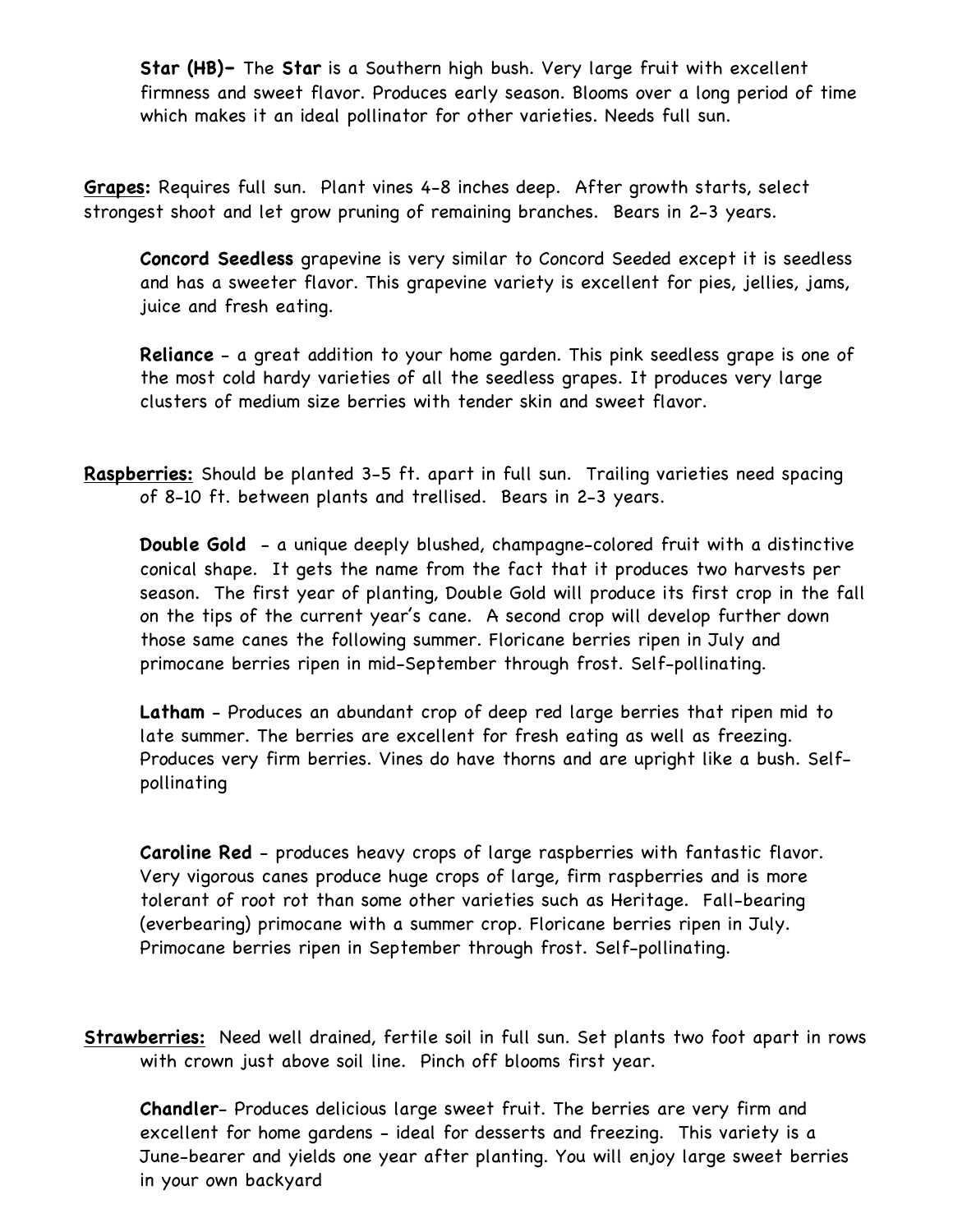**Star (HB)–** The **Star** is a Southern high bush. Very large fruit with excellent firmness and sweet flavor. Produces early season. Blooms over a long period of time which makes it an ideal pollinator for other varieties. Needs full sun.

**Grapes:** Requires full sun. Plant vines 4-8 inches deep. After growth starts, select strongest shoot and let grow pruning of remaining branches. Bears in 2-3 years.

**Concord Seedless** grapevine is very similar to Concord Seeded except it is seedless and has a sweeter flavor. This grapevine variety is excellent for pies, jellies, jams, juice and fresh eating.

**Reliance** - a great addition to your home garden. This pink seedless grape is one of the most cold hardy varieties of all the seedless grapes. It produces very large clusters of medium size berries with tender skin and sweet flavor.

**Raspberries:** Should be planted 3-5 ft. apart in full sun. Trailing varieties need spacing of 8-10 ft. between plants and trellised. Bears in 2-3 years.

**Double Gold** - a unique deeply blushed, champagne-colored fruit with a distinctive conical shape. It gets the name from the fact that it produces two harvests per season. The first year of planting, Double Gold will produce its first crop in the fall on the tips of the current year's cane. A second crop will develop further down those same canes the following summer. Floricane berries ripen in July and primocane berries ripen in mid-September through frost. Self-pollinating.

**Latham** - Produces an abundant crop of deep red large berries that ripen mid to late summer. The berries are excellent for fresh eating as well as freezing. Produces very firm berries. Vines do have thorns and are upright like a bush. Selfpollinating

**Caroline Red** - produces heavy crops of large raspberries with fantastic flavor. Very vigorous canes produce huge crops of large, firm raspberries and is more tolerant of root rot than some other varieties such as Heritage. Fall-bearing (everbearing) primocane with a summer crop. Floricane berries ripen in July. Primocane berries ripen in September through frost. Self-pollinating.

**Strawberries:** Need well drained, fertile soil in full sun. Set plants two foot apart in rows with crown just above soil line. Pinch off blooms first year.

**Chandler**- Produces delicious large sweet fruit. The berries are very firm and excellent for home gardens - ideal for desserts and freezing. This variety is a June-bearer and yields one year after planting. You will enjoy large sweet berries in your own backyard